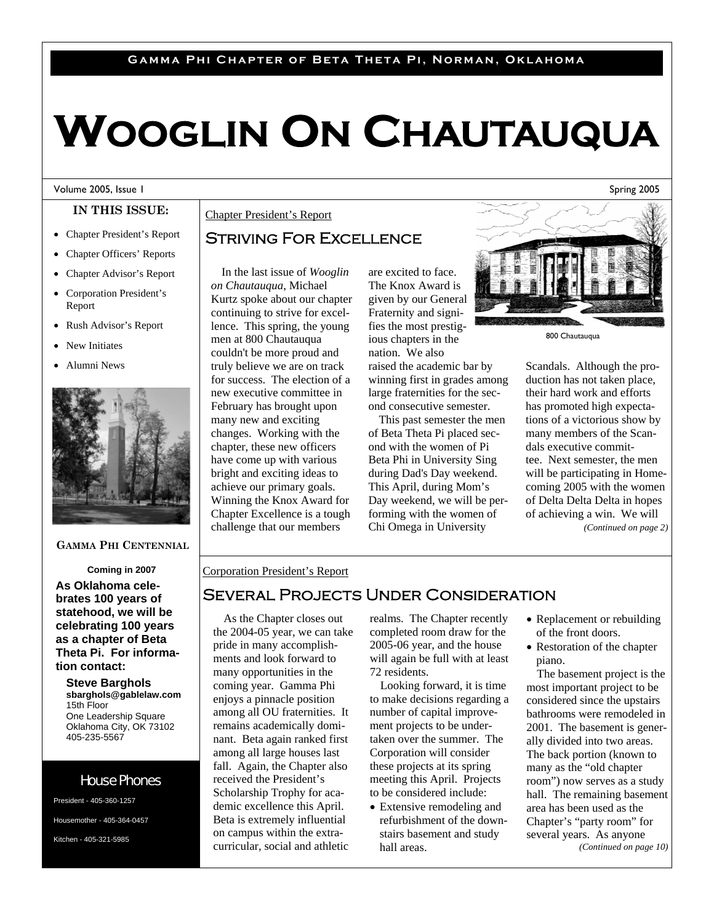## **Gamma Phi Chapter of Beta Theta Pi, Norman, Oklahoma**

# **WOOGLIN ON CHAUTAUQUA**

#### Volume 2005, Issue 1

## **IN THIS ISSUE:**

- Chapter President's Report
- Chapter Officers' Reports
- Chapter Advisor's Report
- Corporation President's Report
- Rush Advisor's Report
- New Initiates
- Alumni News



### **GAMMA PHI CENTENNIAL**

**Coming in 2007** 

**As Oklahoma celebrates 100 years of statehood, we will be celebrating 100 years as a chapter of Beta Theta Pi. For information contact:** 

**Steve Barghols sbarghols@gablelaw.com**  15th Floor One Leadership Square Oklahoma City, OK 73102 405-235-5567

## House Phones

President - 405-360-1257 Housemother - 405-364-0457 Kitchen - 405-321-5985

## Chapter President's Report

## Striving For Excellence

In the last issue of *Wooglin on Chautauqua*, Michael Kurtz spoke about our chapter continuing to strive for excellence. This spring, the young men at 800 Chautauqua couldn't be more proud and truly believe we are on track for success. The election of a new executive committee in February has brought upon many new and exciting changes. Working with the chapter, these new officers have come up with various bright and exciting ideas to achieve our primary goals. Winning the Knox Award for Chapter Excellence is a tough challenge that our members

are excited to face. The Knox Award is given by our General Fraternity and signifies the most prestigious chapters in the nation. We also raised the academic bar by winning first in grades among large fraternities for the second consecutive semester.

This past semester the men of Beta Theta Pi placed second with the women of Pi Beta Phi in University Sing during Dad's Day weekend. This April, during Mom's Day weekend, we will be performing with the women of Chi Omega in University



800 Chautauqua

Scandals. Although the production has not taken place, their hard work and efforts has promoted high expectations of a victorious show by many members of the Scandals executive committee. Next semester, the men will be participating in Homecoming 2005 with the women of Delta Delta Delta in hopes of achieving a win. We will *(Continued on page 2)* 

## Corporation President's Report

## Several Projects Under Consideration

As the Chapter closes out the 2004-05 year, we can take pride in many accomplishments and look forward to many opportunities in the coming year. Gamma Phi enjoys a pinnacle position among all OU fraternities. It remains academically dominant. Beta again ranked first among all large houses last fall. Again, the Chapter also received the President's Scholarship Trophy for academic excellence this April. Beta is extremely influential on campus within the extracurricular, social and athletic

realms. The Chapter recently completed room draw for the 2005-06 year, and the house will again be full with at least 72 residents.

Looking forward, it is time to make decisions regarding a number of capital improvement projects to be undertaken over the summer. The Corporation will consider these projects at its spring meeting this April. Projects to be considered include:

• Extensive remodeling and refurbishment of the downstairs basement and study hall areas.

- Replacement or rebuilding of the front doors.
- Restoration of the chapter piano.

The basement project is the most important project to be considered since the upstairs bathrooms were remodeled in 2001. The basement is generally divided into two areas. The back portion (known to many as the "old chapter room") now serves as a study hall. The remaining basement area has been used as the Chapter's "party room" for several years. As anyone *(Continued on page 10)*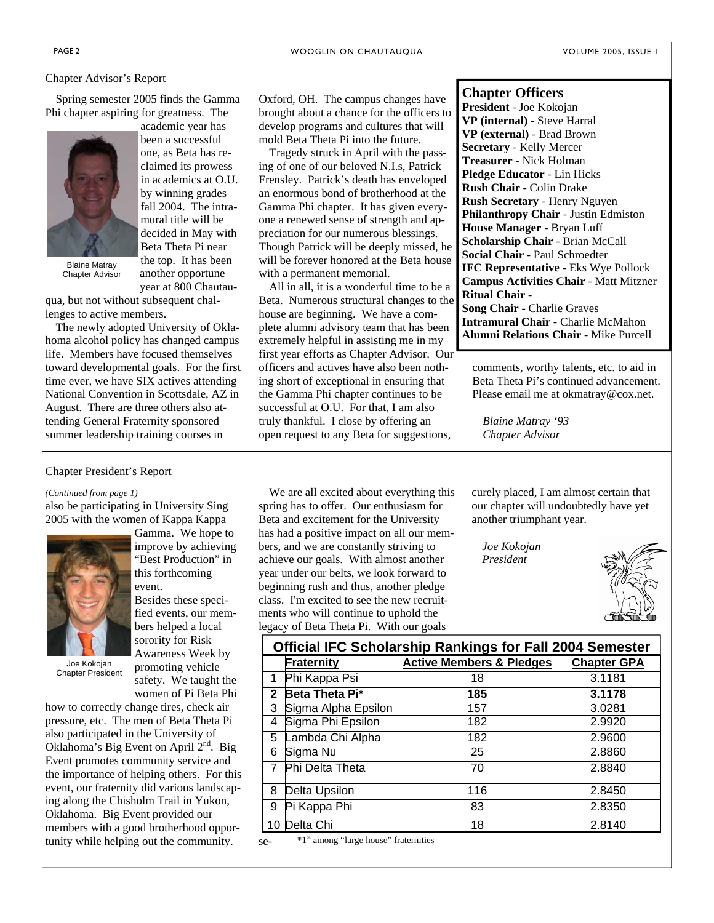#### Chapter Advisor's Report

Spring semester 2005 finds the Gamma Phi chapter aspiring for greatness. The



Blaine Matray Chapter Advisor

year at 800 Chautauqua, but not without subsequent challenges to active members.

another opportune

The newly adopted University of Oklahoma alcohol policy has changed campus life. Members have focused themselves toward developmental goals. For the first time ever, we have SIX actives attending National Convention in Scottsdale, AZ in August. There are three others also attending General Fraternity sponsored summer leadership training courses in

### Chapter President's Report

#### *(Continued from page 1)*

also be participating in University Sing 2005 with the women of Kappa Kappa



Besides these specified events, our members helped a local

event.

Joe Kokojan Chapter President

sorority for Risk Awareness Week by promoting vehicle safety. We taught the

Gamma. We hope to improve by achieving "Best Production" in this forthcoming

women of Pi Beta Phi how to correctly change tires, check air pressure, etc. The men of Beta Theta Pi also participated in the University of Oklahoma's Big Event on April  $2<sup>nd</sup>$ . Big Event promotes community service and the importance of helping others. For this event, our fraternity did various landscaping along the Chisholm Trail in Yukon, Oklahoma. Big Event provided our members with a good brotherhood opportunity while helping out the community.

Oxford, OH. The campus changes have brought about a chance for the officers to develop programs and cultures that will mold Beta Theta Pi into the future.

Tragedy struck in April with the passing of one of our beloved N.I.s, Patrick Frensley. Patrick's death has enveloped an enormous bond of brotherhood at the Gamma Phi chapter. It has given everyone a renewed sense of strength and appreciation for our numerous blessings. Though Patrick will be deeply missed, he will be forever honored at the Beta house with a permanent memorial.

All in all, it is a wonderful time to be a Beta. Numerous structural changes to the house are beginning. We have a complete alumni advisory team that has been extremely helpful in assisting me in my first year efforts as Chapter Advisor. Our officers and actives have also been nothing short of exceptional in ensuring that the Gamma Phi chapter continues to be successful at O.U. For that, I am also truly thankful. I close by offering an open request to any Beta for suggestions,

### **Chapter Officers**

**President** - Joe Kokojan **VP (internal)** - Steve Harral **VP (external)** - Brad Brown **Secretary** - Kelly Mercer **Treasurer** - Nick Holman **Pledge Educator** - Lin Hicks **Rush Chair** - Colin Drake **Rush Secretary** - Henry Nguyen **Philanthropy Chair** - Justin Edmiston **House Manager** - Bryan Luff **Scholarship Chair** - Brian McCall **Social Chair** - Paul Schroedter **IFC Representative** - Eks Wye Pollock **Campus Activities Chair** - Matt Mitzner **Ritual Chair** - **Song Chair** - Charlie Graves **Intramural Chair** - Charlie McMahon **Alumni Relations Chair** - Mike Purcell

comments, worthy talents, etc. to aid in Beta Theta Pi's continued advancement. Please email me at okmatray@cox.net.

*Blaine Matray '93 Chapter Advisor* 

We are all excited about everything this spring has to offer. Our enthusiasm for Beta and excitement for the University has had a positive impact on all our members, and we are constantly striving to achieve our goals. With almost another year under our belts, we look forward to beginning rush and thus, another pledge class. I'm excited to see the new recruitments who will continue to uphold the legacy of Beta Theta Pi. With our goals

curely placed, I am almost certain that our chapter will undoubtedly have yet another triumphant year.

*Joe Kokojan President* 



| <b>Official IFC Scholarship Rankings for Fall 2004 Semester</b> |                     |                                     |                    |  |  |  |  |
|-----------------------------------------------------------------|---------------------|-------------------------------------|--------------------|--|--|--|--|
|                                                                 | Fraternity          | <b>Active Members &amp; Pledges</b> | <b>Chapter GPA</b> |  |  |  |  |
| 1                                                               | Phi Kappa Psi       | 18                                  | 3.1181             |  |  |  |  |
| $\mathbf{2}$                                                    | Beta Theta Pi*      | 185                                 | 3.1178             |  |  |  |  |
| 3                                                               | Sigma Alpha Epsilon | 157                                 | 3.0281             |  |  |  |  |
| 4                                                               | Sigma Phi Epsilon   | 182                                 | 2.9920             |  |  |  |  |
| 5                                                               | Lambda Chi Alpha    | 182                                 | 2.9600             |  |  |  |  |
| 6                                                               | Sigma Nu            | 25                                  | 2.8860             |  |  |  |  |
| $\overline{7}$                                                  | Phi Delta Theta     | 70                                  | 2.8840             |  |  |  |  |
| 8                                                               | Delta Upsilon       | 116                                 | 2.8450             |  |  |  |  |
| 9                                                               | Pi Kappa Phi        | 83                                  | 2.8350             |  |  |  |  |
| 10                                                              | Delta Chi           | 18                                  | 2.8140             |  |  |  |  |

se-\*1st among "large house" fraternities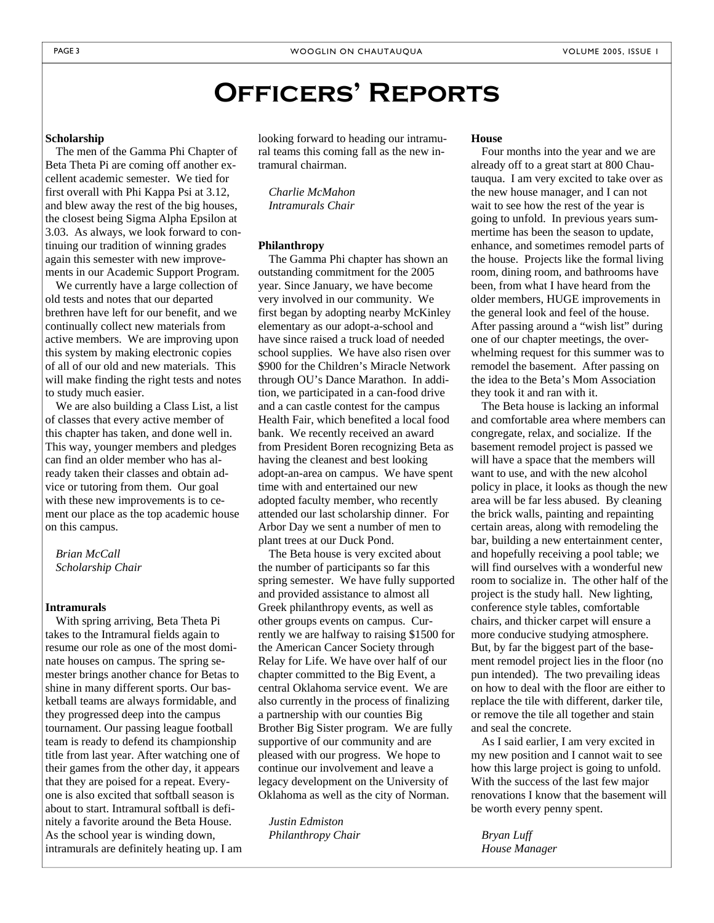# **Officers' Reports**

#### **Scholarship**

The men of the Gamma Phi Chapter of Beta Theta Pi are coming off another excellent academic semester. We tied for first overall with Phi Kappa Psi at 3.12, and blew away the rest of the big houses, the closest being Sigma Alpha Epsilon at 3.03. As always, we look forward to continuing our tradition of winning grades again this semester with new improvements in our Academic Support Program.

We currently have a large collection of old tests and notes that our departed brethren have left for our benefit, and we continually collect new materials from active members. We are improving upon this system by making electronic copies of all of our old and new materials. This will make finding the right tests and notes to study much easier.

We are also building a Class List, a list of classes that every active member of this chapter has taken, and done well in. This way, younger members and pledges can find an older member who has already taken their classes and obtain advice or tutoring from them. Our goal with these new improvements is to cement our place as the top academic house on this campus.

### *Brian McCall Scholarship Chair*

#### **Intramurals**

With spring arriving, Beta Theta Pi takes to the Intramural fields again to resume our role as one of the most dominate houses on campus. The spring semester brings another chance for Betas to shine in many different sports. Our basketball teams are always formidable, and they progressed deep into the campus tournament. Our passing league football team is ready to defend its championship title from last year. After watching one of their games from the other day, it appears that they are poised for a repeat. Everyone is also excited that softball season is about to start. Intramural softball is definitely a favorite around the Beta House. As the school year is winding down, intramurals are definitely heating up. I am looking forward to heading our intramural teams this coming fall as the new intramural chairman.

*Charlie McMahon Intramurals Chair* 

#### **Philanthropy**

The Gamma Phi chapter has shown an outstanding commitment for the 2005 year. Since January, we have become very involved in our community. We first began by adopting nearby McKinley elementary as our adopt-a-school and have since raised a truck load of needed school supplies. We have also risen over \$900 for the Children's Miracle Network through OU's Dance Marathon. In addition, we participated in a can-food drive and a can castle contest for the campus Health Fair, which benefited a local food bank. We recently received an award from President Boren recognizing Beta as having the cleanest and best looking adopt-an-area on campus. We have spent time with and entertained our new adopted faculty member, who recently attended our last scholarship dinner. For Arbor Day we sent a number of men to plant trees at our Duck Pond.

The Beta house is very excited about the number of participants so far this spring semester. We have fully supported and provided assistance to almost all Greek philanthropy events, as well as other groups events on campus. Currently we are halfway to raising \$1500 for the American Cancer Society through Relay for Life. We have over half of our chapter committed to the Big Event, a central Oklahoma service event. We are also currently in the process of finalizing a partnership with our counties Big Brother Big Sister program. We are fully supportive of our community and are pleased with our progress. We hope to continue our involvement and leave a legacy development on the University of Oklahoma as well as the city of Norman.

*Justin Edmiston Philanthropy Chair* 

#### **House**

Four months into the year and we are already off to a great start at 800 Chautauqua. I am very excited to take over as the new house manager, and I can not wait to see how the rest of the year is going to unfold. In previous years summertime has been the season to update, enhance, and sometimes remodel parts of the house. Projects like the formal living room, dining room, and bathrooms have been, from what I have heard from the older members, HUGE improvements in the general look and feel of the house. After passing around a "wish list" during one of our chapter meetings, the overwhelming request for this summer was to remodel the basement. After passing on the idea to the Beta's Mom Association they took it and ran with it.

The Beta house is lacking an informal and comfortable area where members can congregate, relax, and socialize. If the basement remodel project is passed we will have a space that the members will want to use, and with the new alcohol policy in place, it looks as though the new area will be far less abused. By cleaning the brick walls, painting and repainting certain areas, along with remodeling the bar, building a new entertainment center, and hopefully receiving a pool table; we will find ourselves with a wonderful new room to socialize in. The other half of the project is the study hall. New lighting, conference style tables, comfortable chairs, and thicker carpet will ensure a more conducive studying atmosphere. But, by far the biggest part of the basement remodel project lies in the floor (no pun intended). The two prevailing ideas on how to deal with the floor are either to replace the tile with different, darker tile, or remove the tile all together and stain and seal the concrete.

As I said earlier, I am very excited in my new position and I cannot wait to see how this large project is going to unfold. With the success of the last few major renovations I know that the basement will be worth every penny spent.

*Bryan Luff House Manager*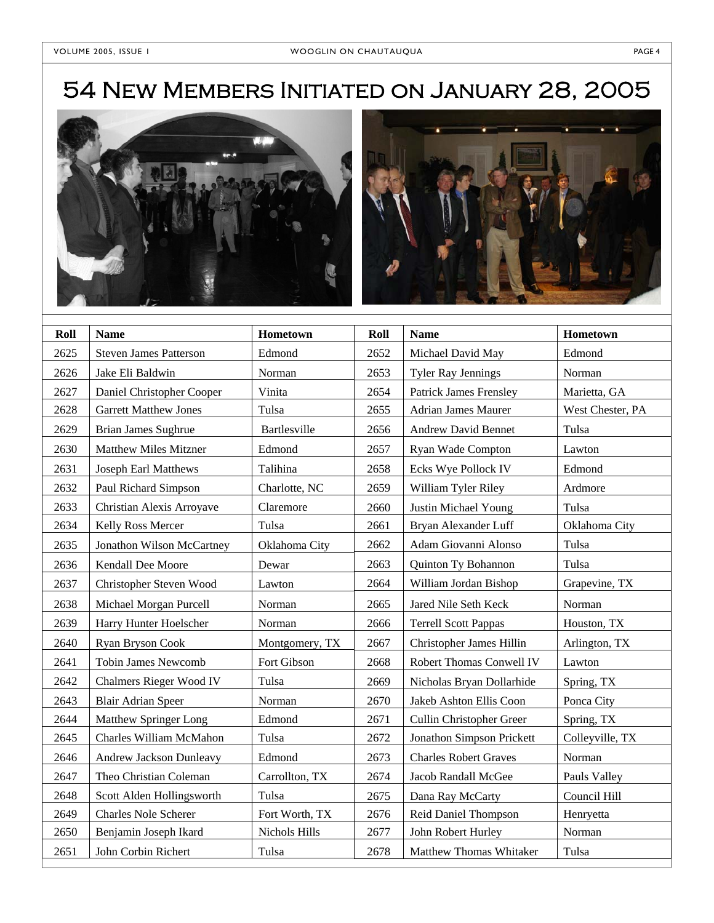# 54 New Members Initiated on January 28, 2005





| Roll | <b>Name</b>                    | Hometown       | Roll | <b>Name</b>                   | Hometown         |
|------|--------------------------------|----------------|------|-------------------------------|------------------|
| 2625 | <b>Steven James Patterson</b>  | Edmond         | 2652 | Michael David May             | Edmond           |
| 2626 | Jake Eli Baldwin               | Norman         | 2653 | <b>Tyler Ray Jennings</b>     | Norman           |
| 2627 | Daniel Christopher Cooper      | Vinita         | 2654 | <b>Patrick James Frensley</b> | Marietta, GA     |
| 2628 | <b>Garrett Matthew Jones</b>   | Tulsa          | 2655 | <b>Adrian James Maurer</b>    | West Chester, PA |
| 2629 | Brian James Sughrue            | Bartlesville   | 2656 | <b>Andrew David Bennet</b>    | Tulsa            |
| 2630 | <b>Matthew Miles Mitzner</b>   | Edmond         | 2657 | Ryan Wade Compton             | Lawton           |
| 2631 | Joseph Earl Matthews           | Talihina       | 2658 | Ecks Wye Pollock IV           | Edmond           |
| 2632 | Paul Richard Simpson           | Charlotte, NC  | 2659 | William Tyler Riley           | Ardmore          |
| 2633 | Christian Alexis Arroyave      | Claremore      | 2660 | Justin Michael Young          | Tulsa            |
| 2634 | Kelly Ross Mercer              | Tulsa          | 2661 | Bryan Alexander Luff          | Oklahoma City    |
| 2635 | Jonathon Wilson McCartney      | Oklahoma City  | 2662 | Adam Giovanni Alonso          | Tulsa            |
| 2636 | Kendall Dee Moore              | Dewar          | 2663 | Quinton Ty Bohannon           | Tulsa            |
| 2637 | Christopher Steven Wood        | Lawton         | 2664 | William Jordan Bishop         | Grapevine, TX    |
| 2638 | Michael Morgan Purcell         | Norman         | 2665 | Jared Nile Seth Keck          | Norman           |
| 2639 | Harry Hunter Hoelscher         | Norman         | 2666 | <b>Terrell Scott Pappas</b>   | Houston, TX      |
| 2640 | Ryan Bryson Cook               | Montgomery, TX | 2667 | Christopher James Hillin      | Arlington, TX    |
| 2641 | <b>Tobin James Newcomb</b>     | Fort Gibson    | 2668 | Robert Thomas Conwell IV      | Lawton           |
| 2642 | <b>Chalmers Rieger Wood IV</b> | Tulsa          | 2669 | Nicholas Bryan Dollarhide     | Spring, TX       |
| 2643 | <b>Blair Adrian Speer</b>      | Norman         | 2670 | Jakeb Ashton Ellis Coon       | Ponca City       |
| 2644 | Matthew Springer Long          | Edmond         | 2671 | Cullin Christopher Greer      | Spring, TX       |
| 2645 | Charles William McMahon        | Tulsa          | 2672 | Jonathon Simpson Prickett     | Colleyville, TX  |
| 2646 | Andrew Jackson Dunleavy        | Edmond         | 2673 | <b>Charles Robert Graves</b>  | Norman           |
| 2647 | Theo Christian Coleman         | Carrollton, TX | 2674 | Jacob Randall McGee           | Pauls Valley     |
| 2648 | Scott Alden Hollingsworth      | Tulsa          | 2675 | Dana Ray McCarty              | Council Hill     |
| 2649 | <b>Charles Nole Scherer</b>    | Fort Worth, TX | 2676 | Reid Daniel Thompson          | Henryetta        |
| 2650 | Benjamin Joseph Ikard          | Nichols Hills  | 2677 | John Robert Hurley            | Norman           |
| 2651 | John Corbin Richert            | Tulsa          | 2678 | Matthew Thomas Whitaker       | Tulsa            |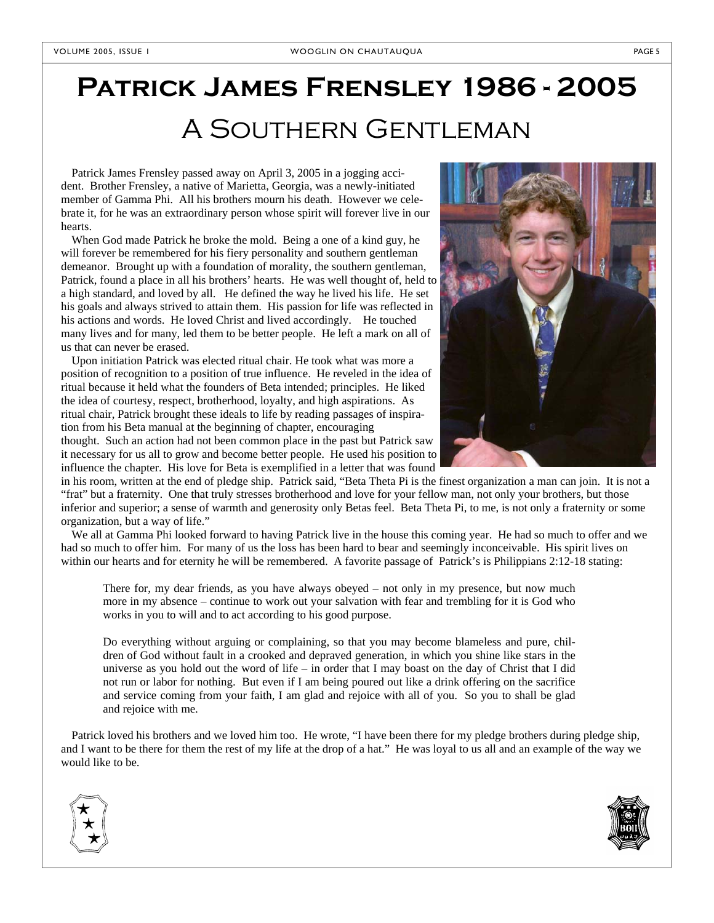# **Patrick James Frensley 1986 - 2005**  A Southern Gentleman

Patrick James Frensley passed away on April 3, 2005 in a jogging accident. Brother Frensley, a native of Marietta, Georgia, was a newly-initiated member of Gamma Phi. All his brothers mourn his death. However we celebrate it, for he was an extraordinary person whose spirit will forever live in our hearts.

When God made Patrick he broke the mold. Being a one of a kind guy, he will forever be remembered for his fiery personality and southern gentleman demeanor. Brought up with a foundation of morality, the southern gentleman, Patrick, found a place in all his brothers' hearts. He was well thought of, held to a high standard, and loved by all. He defined the way he lived his life. He set his goals and always strived to attain them. His passion for life was reflected in his actions and words. He loved Christ and lived accordingly. He touched many lives and for many, led them to be better people. He left a mark on all of us that can never be erased.

Upon initiation Patrick was elected ritual chair. He took what was more a position of recognition to a position of true influence. He reveled in the idea of ritual because it held what the founders of Beta intended; principles. He liked the idea of courtesy, respect, brotherhood, loyalty, and high aspirations. As ritual chair, Patrick brought these ideals to life by reading passages of inspiration from his Beta manual at the beginning of chapter, encouraging

thought. Such an action had not been common place in the past but Patrick saw it necessary for us all to grow and become better people. He used his position to influence the chapter. His love for Beta is exemplified in a letter that was found



in his room, written at the end of pledge ship. Patrick said, "Beta Theta Pi is the finest organization a man can join. It is not a "frat" but a fraternity. One that truly stresses brotherhood and love for your fellow man, not only your brothers, but those inferior and superior; a sense of warmth and generosity only Betas feel. Beta Theta Pi, to me, is not only a fraternity or some organization, but a way of life."

We all at Gamma Phi looked forward to having Patrick live in the house this coming year. He had so much to offer and we had so much to offer him. For many of us the loss has been hard to bear and seemingly inconceivable. His spirit lives on within our hearts and for eternity he will be remembered. A favorite passage of Patrick's is Philippians 2:12-18 stating:

There for, my dear friends, as you have always obeyed – not only in my presence, but now much more in my absence – continue to work out your salvation with fear and trembling for it is God who works in you to will and to act according to his good purpose.

Do everything without arguing or complaining, so that you may become blameless and pure, children of God without fault in a crooked and depraved generation, in which you shine like stars in the universe as you hold out the word of life – in order that I may boast on the day of Christ that I did not run or labor for nothing. But even if I am being poured out like a drink offering on the sacrifice and service coming from your faith, I am glad and rejoice with all of you. So you to shall be glad and rejoice with me.

Patrick loved his brothers and we loved him too. He wrote, "I have been there for my pledge brothers during pledge ship, and I want to be there for them the rest of my life at the drop of a hat." He was loyal to us all and an example of the way we would like to be.



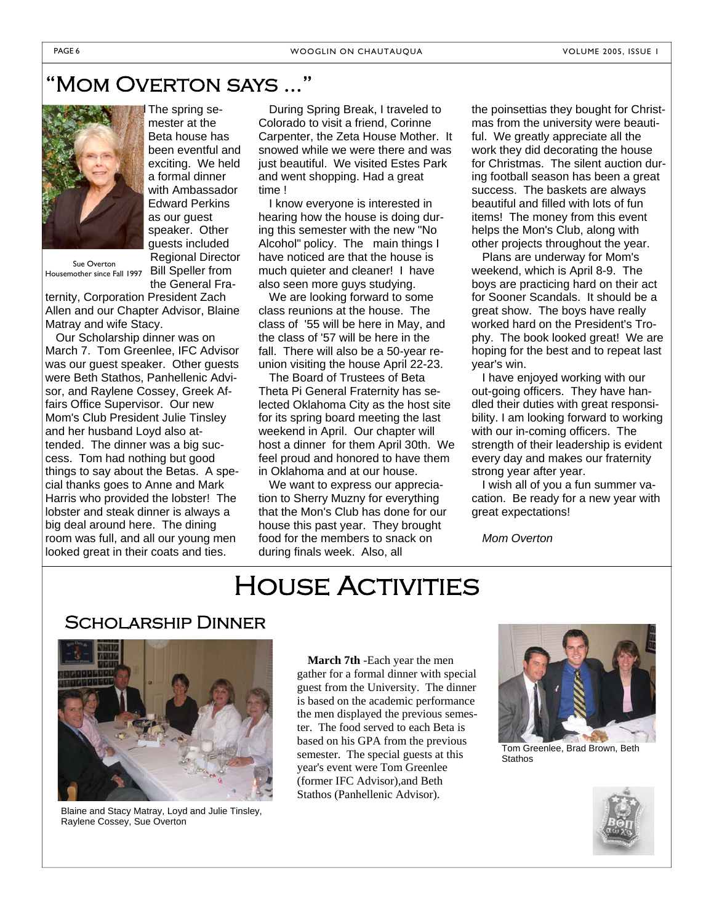## 'MOM OVERTON SAYS ...



The spring semester at the Beta house has been eventful and exciting. We held a formal dinner with Ambassador Edward Perkins as our guest speaker. Other guests included Regional Director Bill Speller from the General Fra-

Sue Overton Housemother since Fall 1997

ternity, Corporation President Zach Allen and our Chapter Advisor, Blaine Matray and wife Stacy.

Our Scholarship dinner was on March 7. Tom Greenlee, IFC Advisor was our guest speaker. Other guests were Beth Stathos, Panhellenic Advisor, and Raylene Cossey, Greek Affairs Office Supervisor. Our new Mom's Club President Julie Tinsley and her husband Loyd also attended. The dinner was a big success. Tom had nothing but good things to say about the Betas. A special thanks goes to Anne and Mark Harris who provided the lobster! The lobster and steak dinner is always a big deal around here. The dining room was full, and all our young men looked great in their coats and ties.

During Spring Break, I traveled to Colorado to visit a friend, Corinne Carpenter, the Zeta House Mother. It snowed while we were there and was just beautiful. We visited Estes Park and went shopping. Had a great time !

I know everyone is interested in hearing how the house is doing during this semester with the new "No Alcohol" policy. The main things I have noticed are that the house is much quieter and cleaner! I have also seen more guys studying.

We are looking forward to some class reunions at the house. The class of '55 will be here in May, and the class of '57 will be here in the fall. There will also be a 50-year reunion visiting the house April 22-23.

The Board of Trustees of Beta Theta Pi General Fraternity has selected Oklahoma City as the host site for its spring board meeting the last weekend in April. Our chapter will host a dinner for them April 30th. We feel proud and honored to have them in Oklahoma and at our house.

We want to express our appreciation to Sherry Muzny for everything that the Mon's Club has done for our house this past year. They brought food for the members to snack on during finals week. Also, all

the poinsettias they bought for Christmas from the university were beautiful. We greatly appreciate all the work they did decorating the house for Christmas. The silent auction during football season has been a great success. The baskets are always beautiful and filled with lots of fun items! The money from this event helps the Mon's Club, along with other projects throughout the year.

Plans are underway for Mom's weekend, which is April 8-9. The boys are practicing hard on their act for Sooner Scandals. It should be a great show. The boys have really worked hard on the President's Trophy. The book looked great! We are hoping for the best and to repeat last year's win.

I have enjoyed working with our out-going officers. They have handled their duties with great responsibility. I am looking forward to working with our in-coming officers. The strength of their leadership is evident every day and makes our fraternity strong year after year.

I wish all of you a fun summer vacation. Be ready for a new year with great expectations!

*Mom Overton*

# House Activities

## Scholarship Dinner



Blaine and Stacy Matray, Loyd and Julie Tinsley, Raylene Cossey, Sue Overton

**March 7th** -Each year the men gather for a formal dinner with special guest from the University. The dinner is based on the academic performance the men displayed the previous semester. The food served to each Beta is based on his GPA from the previous semester. The special guests at this year's event were Tom Greenlee (former IFC Advisor),and Beth Stathos (Panhellenic Advisor).



Tom Greenlee, Brad Brown, Beth **Stathos** 

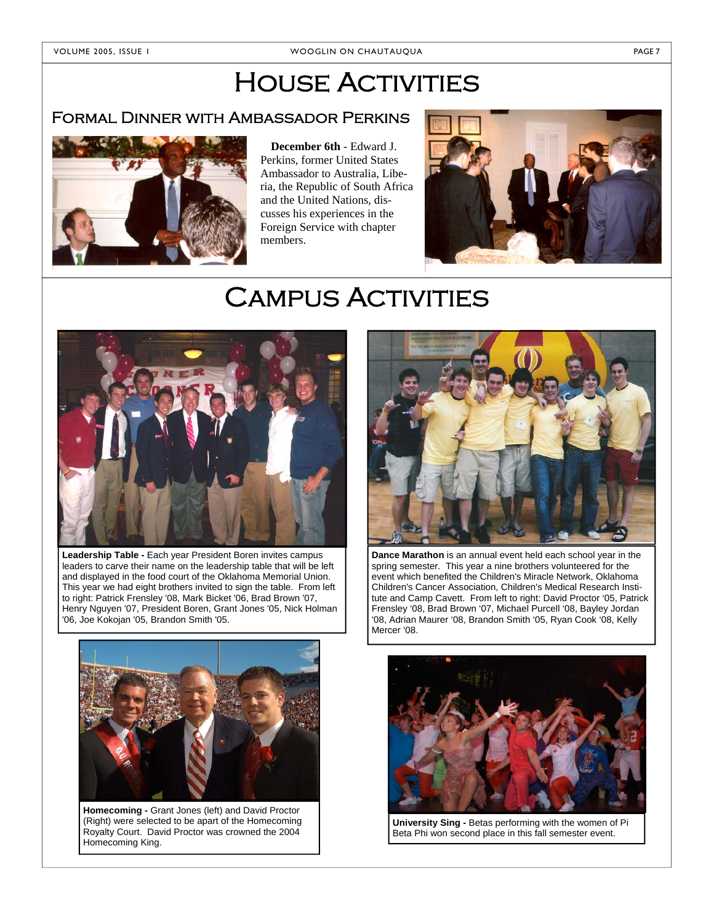# **HOUSE ACTIVITIES**

## Formal Dinner with Ambassador Perkins



**December 6th** - Edward J. Perkins, former United States Ambassador to Australia, Liberia, the Republic of South Africa and the United Nations, discusses his experiences in the Foreign Service with chapter members.



# **CAMPUS ACTIVITIES**



**Leadership Table -** Each year President Boren invites campus leaders to carve their name on the leadership table that will be left and displayed in the food court of the Oklahoma Memorial Union. This year we had eight brothers invited to sign the table. From left to right: Patrick Frensley '08, Mark Bicket '06, Brad Brown '07, Henry Nguyen '07, President Boren, Grant Jones '05, Nick Holman '06, Joe Kokojan '05, Brandon Smith '05.



**Homecoming -** Grant Jones (left) and David Proctor (Right) were selected to be apart of the Homecoming Royalty Court. David Proctor was crowned the 2004 Homecoming King.



**Dance Marathon** is an annual event held each school year in the spring semester. This year a nine brothers volunteered for the event which benefited the Children's Miracle Network, Oklahoma Children's Cancer Association, Children's Medical Research Institute and Camp Cavett. From left to right: David Proctor '05, Patrick Frensley '08, Brad Brown '07, Michael Purcell '08, Bayley Jordan '08, Adrian Maurer '08, Brandon Smith '05, Ryan Cook '08, Kelly Mercer '08.



**University Sing -** Betas performing with the women of Pi Beta Phi won second place in this fall semester event.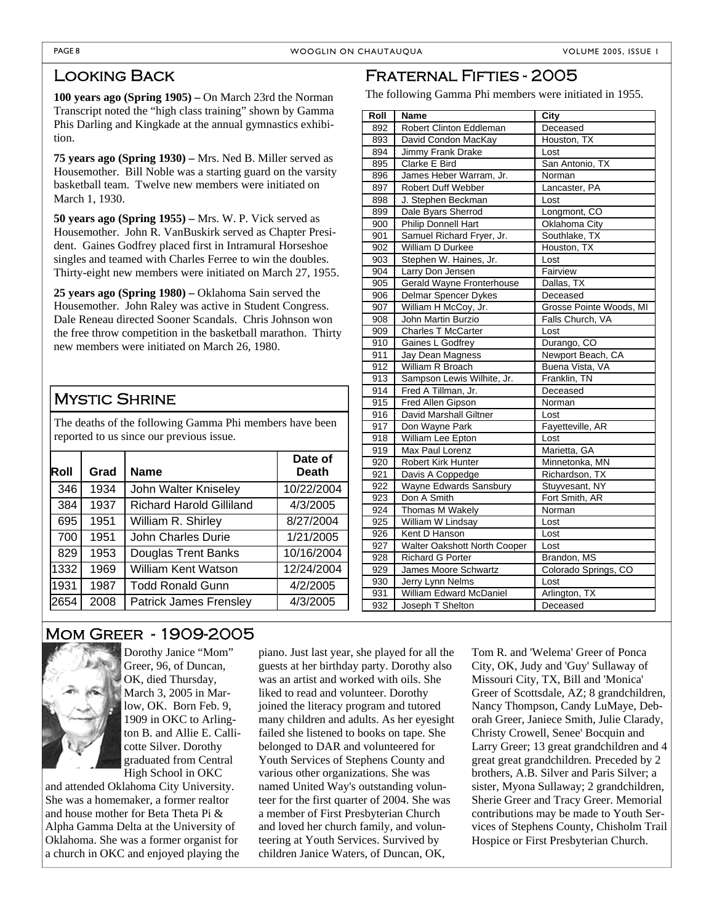## Looking Back

**100 years ago (Spring 1905) –** On March 23rd the Norman Transcript noted the "high class training" shown by Gamma Phis Darling and Kingkade at the annual gymnastics exhibition.

**75 years ago (Spring 1930) –** Mrs. Ned B. Miller served as Housemother. Bill Noble was a starting guard on the varsity basketball team. Twelve new members were initiated on March 1, 1930.

**50 years ago (Spring 1955) –** Mrs. W. P. Vick served as Housemother. John R. VanBuskirk served as Chapter President. Gaines Godfrey placed first in Intramural Horseshoe singles and teamed with Charles Ferree to win the doubles. Thirty-eight new members were initiated on March 27, 1955.

**25 years ago (Spring 1980) –** Oklahoma Sain served the Housemother. John Raley was active in Student Congress. Dale Reneau directed Sooner Scandals. Chris Johnson won the free throw competition in the basketball marathon. Thirty new members were initiated on March 26, 1980.

## Mystic Shrine

The deaths of the following Gamma Phi members have been reported to us since our previous issue.

| Roll | Grad | <b>Name</b>                     | Date of<br><b>Death</b> |
|------|------|---------------------------------|-------------------------|
| 346  | 1934 | John Walter Kniseley            | 10/22/2004              |
| 384  | 1937 | <b>Richard Harold Gilliland</b> | 4/3/2005                |
| 695  | 1951 | William R. Shirley              | 8/27/2004               |
| 700  | 1951 | John Charles Durie              | 1/21/2005               |
| 829  | 1953 | <b>Douglas Trent Banks</b>      | 10/16/2004              |
| 1332 | 1969 | William Kent Watson             | 12/24/2004              |
| 1931 | 1987 | <b>Todd Ronald Gunn</b>         | 4/2/2005                |
| 2654 | 2008 | <b>Patrick James Frensley</b>   | 4/3/2005                |

## Fraternal Fifties - 2005

The following Gamma Phi members were initiated in 1955.

| Roll | <b>Name</b>                  | City                    |  |
|------|------------------------------|-------------------------|--|
| 892  | Robert Clinton Eddleman      | Deceased                |  |
| 893  | David Condon MacKay          | Houston, TX             |  |
| 894  | Jimmy Frank Drake            | Lost                    |  |
| 895  | Clarke E Bird                | San Antonio, TX         |  |
| 896  | James Heber Warram, Jr.      | Norman                  |  |
| 897  | <b>Robert Duff Webber</b>    | Lancaster, PA           |  |
| 898  | J. Stephen Beckman           | Lost                    |  |
| 899  | Dale Byars Sherrod           | Longmont, CO            |  |
| 900  | Philip Donnell Hart          | Oklahoma City           |  |
| 901  | Samuel Richard Fryer, Jr.    | Southlake, TX           |  |
| 902  | William D Durkee             | Houston, TX             |  |
| 903  | Stephen W. Haines, Jr.       | Lost                    |  |
| 904  | Larry Don Jensen             | Fairview                |  |
| 905  | Gerald Wayne Fronterhouse    | Dallas, TX              |  |
| 906  | Delmar Spencer Dykes         | Deceased                |  |
| 907  | William H McCoy, Jr.         | Grosse Pointe Woods, MI |  |
| 908  | John Martin Burzio           | Falls Church, VA        |  |
| 909  | <b>Charles T McCarter</b>    | Lost                    |  |
| 910  | Gaines L Godfrey             | Durango, CO             |  |
| 911  | Jay Dean Magness             | Newport Beach, CA       |  |
| 912  | William R Broach             | Buena Vista, VA         |  |
| 913  | Sampson Lewis Wilhite, Jr.   | Franklin, TN            |  |
| 914  | Fred A Tillman, Jr.          | Deceased                |  |
| 915  | Fred Allen Gipson            | Norman                  |  |
| 916  | David Marshall Giltner       | Lost                    |  |
| 917  | Don Wayne Park               | Fayetteville, AR        |  |
| 918  | William Lee Epton            | Lost                    |  |
| 919  | Max Paul Lorenz              | Marietta, GA            |  |
| 920  | <b>Robert Kirk Hunter</b>    | Minnetonka, MN          |  |
| 921  | Davis A Coppedge             | Richardson, TX          |  |
| 922  | Wayne Edwards Sansbury       | Stuyvesant, NY          |  |
| 923  | Don A Smith                  | Fort Smith, AR          |  |
| 924  | Thomas M Wakely              | Norman                  |  |
| 925  | William W Lindsay            | Lost                    |  |
| 926  | Kent D Hanson                | Lost                    |  |
| 927  | Walter Oakshott North Cooper | Lost                    |  |
| 928  | <b>Richard G Porter</b>      | Brandon, MS             |  |
| 929  | James Moore Schwartz         | Colorado Springs, CO    |  |
| 930  | Jerry Lynn Nelms             | Lost                    |  |
| 931  | William Edward McDaniel      | Arlington, TX           |  |
| 932  | Joseph T Shelton             | Deceased                |  |

## Mom Greer - 1909-2005



Dorothy Janice "Mom" Greer, 96, of Duncan, OK, died Thursday, March 3, 2005 in Marlow, OK. Born Feb. 9, 1909 in OKC to Arlington B. and Allie E. Callicotte Silver. Dorothy graduated from Central High School in OKC

and attended Oklahoma City University. She was a homemaker, a former realtor and house mother for Beta Theta Pi & Alpha Gamma Delta at the University of Oklahoma. She was a former organist for a church in OKC and enjoyed playing the

piano. Just last year, she played for all the guests at her birthday party. Dorothy also was an artist and worked with oils. She liked to read and volunteer. Dorothy joined the literacy program and tutored many children and adults. As her eyesight failed she listened to books on tape. She belonged to DAR and volunteered for Youth Services of Stephens County and various other organizations. She was named United Way's outstanding volunteer for the first quarter of 2004. She was a member of First Presbyterian Church and loved her church family, and volunteering at Youth Services. Survived by children Janice Waters, of Duncan, OK,

Tom R. and 'Welema' Greer of Ponca City, OK, Judy and 'Guy' Sullaway of Missouri City, TX, Bill and 'Monica' Greer of Scottsdale, AZ; 8 grandchildren, Nancy Thompson, Candy LuMaye, Deborah Greer, Janiece Smith, Julie Clarady, Christy Crowell, Senee' Bocquin and Larry Greer; 13 great grandchildren and 4 great great grandchildren. Preceded by 2 brothers, A.B. Silver and Paris Silver; a sister, Myona Sullaway; 2 grandchildren, Sherie Greer and Tracy Greer. Memorial contributions may be made to Youth Services of Stephens County, Chisholm Trail Hospice or First Presbyterian Church.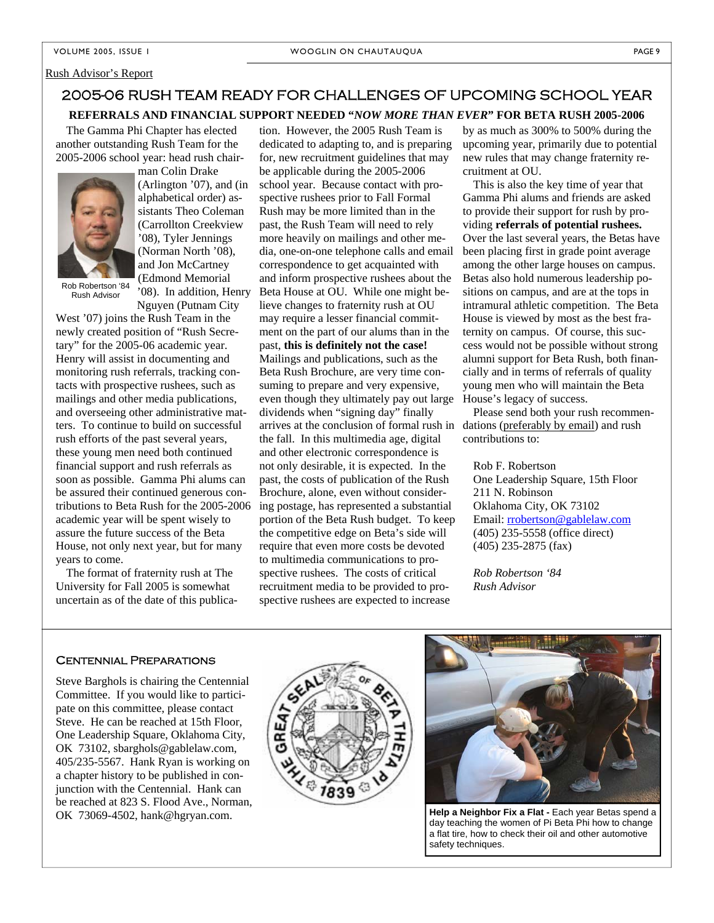#### Rush Advisor's Report

## **REFERRALS AND FINANCIAL SUPPORT NEEDED "***NOW MORE THAN EVER***" FOR BETA RUSH 2005-2006**  2005-06 RUSH TEAM READY FOR CHALLENGES OF UPCOMING SCHOOL YEAR

The Gamma Phi Chapter has elected another outstanding Rush Team for the 2005-2006 school year: head rush chair-



Rush Advisor

man Colin Drake (Arlington '07), and (in alphabetical order) assistants Theo Coleman (Carrollton Creekview '08), Tyler Jennings (Norman North '08), and Jon McCartney (Edmond Memorial '08). In addition, Henry

Nguyen (Putnam City West '07) joins the Rush Team in the newly created position of "Rush Secretary" for the 2005-06 academic year. Henry will assist in documenting and monitoring rush referrals, tracking contacts with prospective rushees, such as mailings and other media publications, and overseeing other administrative matters. To continue to build on successful rush efforts of the past several years, these young men need both continued financial support and rush referrals as soon as possible. Gamma Phi alums can be assured their continued generous contributions to Beta Rush for the 2005-2006 academic year will be spent wisely to assure the future success of the Beta House, not only next year, but for many years to come.

The format of fraternity rush at The University for Fall 2005 is somewhat uncertain as of the date of this publica-

tion. However, the 2005 Rush Team is dedicated to adapting to, and is preparing for, new recruitment guidelines that may be applicable during the 2005-2006 school year. Because contact with prospective rushees prior to Fall Formal Rush may be more limited than in the past, the Rush Team will need to rely more heavily on mailings and other media, one-on-one telephone calls and email correspondence to get acquainted with and inform prospective rushees about the Beta House at OU. While one might believe changes to fraternity rush at OU may require a lesser financial commitment on the part of our alums than in the past, **this is definitely not the case!** Mailings and publications, such as the Beta Rush Brochure, are very time consuming to prepare and very expensive, even though they ultimately pay out large dividends when "signing day" finally arrives at the conclusion of formal rush in the fall. In this multimedia age, digital and other electronic correspondence is not only desirable, it is expected. In the past, the costs of publication of the Rush Brochure, alone, even without considering postage, has represented a substantial portion of the Beta Rush budget. To keep the competitive edge on Beta's side will require that even more costs be devoted to multimedia communications to prospective rushees. The costs of critical recruitment media to be provided to prospective rushees are expected to increase

by as much as 300% to 500% during the upcoming year, primarily due to potential new rules that may change fraternity recruitment at OU.

This is also the key time of year that Gamma Phi alums and friends are asked to provide their support for rush by providing **referrals of potential rushees.** Over the last several years, the Betas have been placing first in grade point average among the other large houses on campus. Betas also hold numerous leadership positions on campus, and are at the tops in intramural athletic competition. The Beta House is viewed by most as the best fraternity on campus. Of course, this success would not be possible without strong alumni support for Beta Rush, both financially and in terms of referrals of quality young men who will maintain the Beta House's legacy of success.

Please send both your rush recommendations (preferably by email) and rush contributions to:

Rob F. Robertson

One Leadership Square, 15th Floor 211 N. Robinson Oklahoma City, OK 73102 Email: rrobertson@gablelaw.com (405) 235-5558 (office direct) (405) 235-2875 (fax)

*Rob Robertson '84 Rush Advisor* 

## Centennial Preparations

Steve Barghols is chairing the Centennial Committee. If you would like to participate on this committee, please contact Steve. He can be reached at 15th Floor, One Leadership Square, Oklahoma City, OK 73102, sbarghols@gablelaw.com, 405/235-5567. Hank Ryan is working on a chapter history to be published in conjunction with the Centennial. Hank can be reached at 823 S. Flood Ave., Norman, OK 73069-4502, hank@hgryan.com.





**Help a Neighbor Fix a Flat -** Each year Betas spend a day teaching the women of Pi Beta Phi how to change a flat tire, how to check their oil and other automotive safety techniques.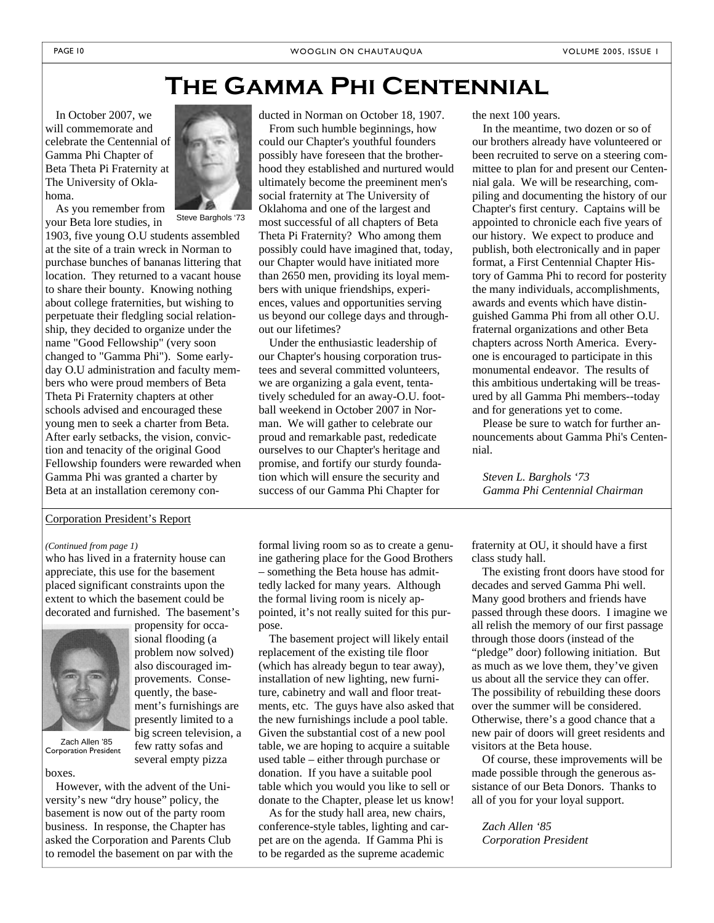## **The Gamma Phi Centennial**

In October 2007, we will commemorate and celebrate the Centennial of Gamma Phi Chapter of Beta Theta Pi Fraternity at The University of Oklahoma.



As you remember from your Beta lore studies, in

1903, five young O.U students assembled at the site of a train wreck in Norman to purchase bunches of bananas littering that location. They returned to a vacant house to share their bounty. Knowing nothing about college fraternities, but wishing to perpetuate their fledgling social relationship, they decided to organize under the name "Good Fellowship" (very soon changed to "Gamma Phi"). Some earlyday O.U administration and faculty members who were proud members of Beta Theta Pi Fraternity chapters at other schools advised and encouraged these young men to seek a charter from Beta. After early setbacks, the vision, conviction and tenacity of the original Good Fellowship founders were rewarded when Gamma Phi was granted a charter by Beta at an installation ceremony con-

## Corporation President's Report

## *(Continued from page 1)*

who has lived in a fraternity house can appreciate, this use for the basement placed significant constraints upon the extent to which the basement could be decorated and furnished. The basement's



Zach Allen '85 Corporation President

problem now solved) also discouraged improvements. Consequently, the basement's furnishings are presently limited to a big screen television, a few ratty sofas and several empty pizza

propensity for occasional flooding (a

boxes.

However, with the advent of the University's new "dry house" policy, the basement is now out of the party room business. In response, the Chapter has asked the Corporation and Parents Club to remodel the basement on par with the ducted in Norman on October 18, 1907.

From such humble beginnings, how could our Chapter's youthful founders possibly have foreseen that the brotherhood they established and nurtured would ultimately become the preeminent men's social fraternity at The University of Oklahoma and one of the largest and most successful of all chapters of Beta Theta Pi Fraternity? Who among them possibly could have imagined that, today, our Chapter would have initiated more than 2650 men, providing its loyal members with unique friendships, experiences, values and opportunities serving us beyond our college days and throughout our lifetimes?

Under the enthusiastic leadership of our Chapter's housing corporation trustees and several committed volunteers, we are organizing a gala event, tentatively scheduled for an away-O.U. football weekend in October 2007 in Norman. We will gather to celebrate our proud and remarkable past, rededicate ourselves to our Chapter's heritage and promise, and fortify our sturdy foundation which will ensure the security and success of our Gamma Phi Chapter for

formal living room so as to create a genuine gathering place for the Good Brothers – something the Beta house has admittedly lacked for many years. Although the formal living room is nicely appointed, it's not really suited for this purpose.

The basement project will likely entail replacement of the existing tile floor (which has already begun to tear away), installation of new lighting, new furniture, cabinetry and wall and floor treatments, etc. The guys have also asked that the new furnishings include a pool table. Given the substantial cost of a new pool table, we are hoping to acquire a suitable used table – either through purchase or donation. If you have a suitable pool table which you would you like to sell or donate to the Chapter, please let us know!

As for the study hall area, new chairs, conference-style tables, lighting and carpet are on the agenda. If Gamma Phi is to be regarded as the supreme academic

the next 100 years.

In the meantime, two dozen or so of our brothers already have volunteered or been recruited to serve on a steering committee to plan for and present our Centennial gala. We will be researching, compiling and documenting the history of our Chapter's first century. Captains will be appointed to chronicle each five years of our history. We expect to produce and publish, both electronically and in paper format, a First Centennial Chapter History of Gamma Phi to record for posterity the many individuals, accomplishments, awards and events which have distinguished Gamma Phi from all other O.U. fraternal organizations and other Beta chapters across North America. Everyone is encouraged to participate in this monumental endeavor. The results of this ambitious undertaking will be treasured by all Gamma Phi members--today and for generations yet to come.

Please be sure to watch for further announcements about Gamma Phi's Centennial.

*Steven L. Barghols '73 Gamma Phi Centennial Chairman* 

fraternity at OU, it should have a first class study hall.

The existing front doors have stood for decades and served Gamma Phi well. Many good brothers and friends have passed through these doors. I imagine we all relish the memory of our first passage through those doors (instead of the "pledge" door) following initiation. But as much as we love them, they've given us about all the service they can offer. The possibility of rebuilding these doors over the summer will be considered. Otherwise, there's a good chance that a new pair of doors will greet residents and visitors at the Beta house.

Of course, these improvements will be made possible through the generous assistance of our Beta Donors. Thanks to all of you for your loyal support.

*Zach Allen '85 Corporation President*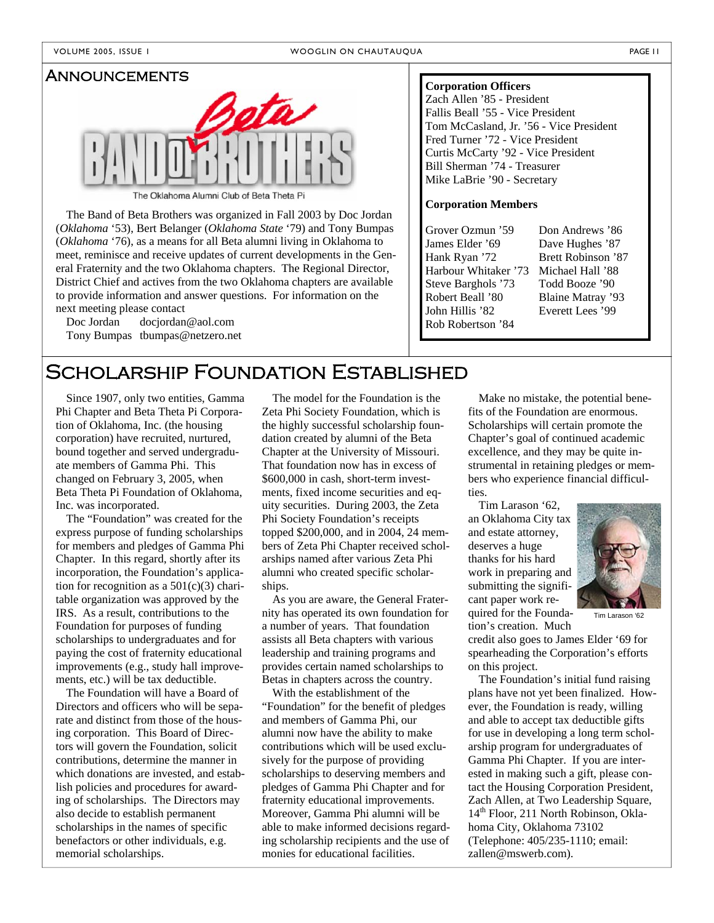## Announcements



The Oklahoma Alumni Club of Beta Theta Pi

**Corporation Members**<br>The Band of Beta Brothers was organized in Fall 2003 by Doc Jordan (*Oklahoma* '53), Bert Belanger (*Oklahoma State* '79) and Tony Bumpas (*Oklahoma* '76), as a means for all Beta alumni living in Oklahoma to meet, reminisce and receive updates of current developments in the General Fraternity and the two Oklahoma chapters. The Regional Director, District Chief and actives from the two Oklahoma chapters are available to provide information and answer questions. For information on the next meeting please contact

Doc Jordan docjordan@aol.com Tony Bumpas tbumpas@netzero.net

#### **Corporation Officers**

Zach Allen '85 - President Fallis Beall '55 - Vice President Tom McCasland, Jr. '56 - Vice President Fred Turner '72 - Vice President Curtis McCarty '92 - Vice President Bill Sherman '74 - Treasurer Mike LaBrie '90 - Secretary

Grover Ozmun '59 James Elder '69 Hank Ryan '72 Harbour Whitaker '73 Steve Barghols '73 Robert Beall '80 John Hillis '82 Rob Robertson '84

Don Andrews '86 Dave Hughes '87 Brett Robinson '87 Michael Hall '88 Todd Booze '90 Blaine Matray '93 Everett Lees '99

## SCHOLARSHIP FOUNDATION ESTABLISHED

Since 1907, only two entities, Gamma Phi Chapter and Beta Theta Pi Corporation of Oklahoma, Inc. (the housing corporation) have recruited, nurtured, bound together and served undergraduate members of Gamma Phi. This changed on February 3, 2005, when Beta Theta Pi Foundation of Oklahoma, Inc. was incorporated.

The "Foundation" was created for the express purpose of funding scholarships for members and pledges of Gamma Phi Chapter. In this regard, shortly after its incorporation, the Foundation's application for recognition as a  $501(c)(3)$  charitable organization was approved by the IRS. As a result, contributions to the Foundation for purposes of funding scholarships to undergraduates and for paying the cost of fraternity educational improvements (e.g., study hall improvements, etc.) will be tax deductible.

The Foundation will have a Board of Directors and officers who will be separate and distinct from those of the housing corporation. This Board of Directors will govern the Foundation, solicit contributions, determine the manner in which donations are invested, and establish policies and procedures for awarding of scholarships. The Directors may also decide to establish permanent scholarships in the names of specific benefactors or other individuals, e.g. memorial scholarships.

The model for the Foundation is the Zeta Phi Society Foundation, which is the highly successful scholarship foundation created by alumni of the Beta Chapter at the University of Missouri. That foundation now has in excess of \$600,000 in cash, short-term investments, fixed income securities and equity securities. During 2003, the Zeta Phi Society Foundation's receipts topped \$200,000, and in 2004, 24 members of Zeta Phi Chapter received scholarships named after various Zeta Phi alumni who created specific scholarships.

As you are aware, the General Fraternity has operated its own foundation for a number of years. That foundation assists all Beta chapters with various leadership and training programs and provides certain named scholarships to Betas in chapters across the country.

With the establishment of the "Foundation" for the benefit of pledges and members of Gamma Phi, our alumni now have the ability to make contributions which will be used exclusively for the purpose of providing scholarships to deserving members and pledges of Gamma Phi Chapter and for fraternity educational improvements. Moreover, Gamma Phi alumni will be able to make informed decisions regarding scholarship recipients and the use of monies for educational facilities.

Make no mistake, the potential benefits of the Foundation are enormous. Scholarships will certain promote the Chapter's goal of continued academic excellence, and they may be quite instrumental in retaining pledges or members who experience financial difficulties.

Tim Larason '62, an Oklahoma City tax and estate attorney, deserves a huge thanks for his hard work in preparing and submitting the significant paper work required for the Founda-

Tim Larason '62

tion's creation. Much credit also goes to James Elder '69 for spearheading the Corporation's efforts on this project.

The Foundation's initial fund raising plans have not yet been finalized. However, the Foundation is ready, willing and able to accept tax deductible gifts for use in developing a long term scholarship program for undergraduates of Gamma Phi Chapter. If you are interested in making such a gift, please contact the Housing Corporation President, Zach Allen, at Two Leadership Square, 14<sup>th</sup> Floor, 211 North Robinson, Oklahoma City, Oklahoma 73102 (Telephone: 405/235-1110; email: zallen@mswerb.com).